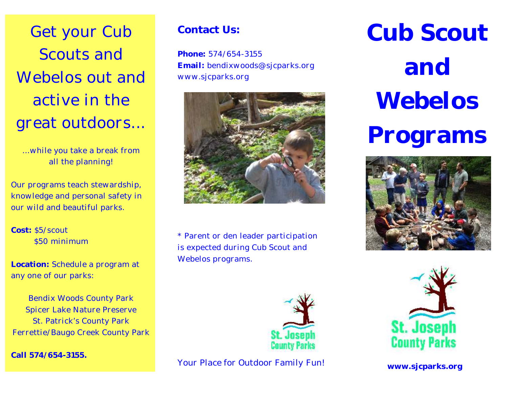Get your Cub Scouts and Webelos out and active in the great outdoors...

...while you take a break from all the planning!

Our programs teach stewardship, knowledge and personal safety in our wild and beautiful parks.

**Cost:** \$5/scout \$50 minimum

**Location:** Schedule a program at any one of our parks:

Bendix Woods County Park Spicer Lake Nature Preserve St. Patrick's County Park Ferrettie/Baugo Creek County Park

**Call 574/654-3155.**

## **Contact Us:**

**Phone:** 574/654-3155 **Email:** bendixwoods@sjcparks.org www.sjcparks.org



\* Parent or den leader participation is expected during Cub Scout and Webelos programs.



*Your Place for Outdoor Family Fun!*

**Cub Scout and Webelos Programs**





**www.sjcparks.org**